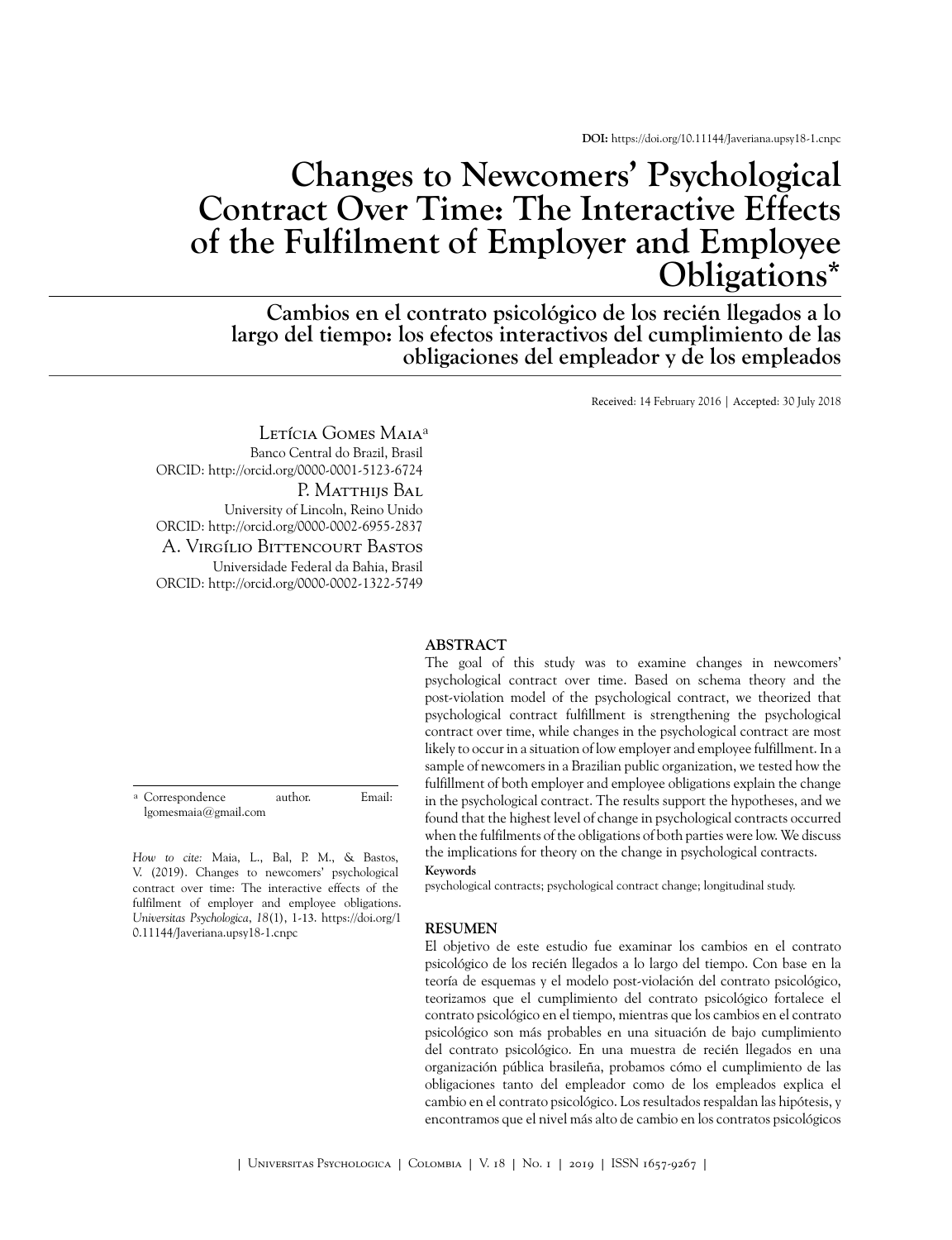**DOI:** <https://doi.org/10.11144/Javeriana.upsy18-1.cnpc>

# **Changes to Newcomers' Psychological Contract Over Time: The Interactive Effects of the Fulfilment of Employer and Employee Obligation[s\\*](#page-12-0)**

**Cambios en el contrato psicológico de los recién llegados a lo largo del tiempo: los efectos interactivos del cumplimiento de las obligaciones del empleador y de los empleados**

Received: 14 February 2016 | Accepted: 30 July 2018

Letícia Gomes Maia<sup>a</sup> Banco Central do Brazil, Brasil ORCID:<http://orcid.org/0000-0001-5123-6724> P. Matthiis Bal University of Lincoln, Reino Unido ORCID:<http://orcid.org/0000-0002-6955-2837> A. Virgílio Bittencourt Bastos Universidade Federal da Bahia, Brasil ORCID:<http://orcid.org/0000-0002-1322-5749>

a Correspondence author. Email: lgomesmaia@gmail.com

*How to cite:* Maia, L., Bal, P. M., & Bastos, V. (2019). Changes to newcomers' psychological contract over time: The interactive effects of the fulfilment of employer and employee obligations. *Universitas Psychologica*, *18*(1), 1-13. [https://doi.org/1](https://doi.org/10.11144/Javeriana.upsy18-1.cnpc) [0.11144/Javeriana.upsy18-1.cnpc](https://doi.org/10.11144/Javeriana.upsy18-1.cnpc)

#### **ABSTRACT**

The goal of this study was to examine changes in newcomers' psychological contract over time. Based on schema theory and the post-violation model of the psychological contract, we theorized that psychological contract fulfillment is strengthening the psychological contract over time, while changes in the psychological contract are most likely to occur in a situation of low employer and employee fulfillment. In a sample of newcomers in a Brazilian public organization, we tested how the fulfillment of both employer and employee obligations explain the change in the psychological contract. The results support the hypotheses, and we found that the highest level of change in psychological contracts occurred when the fulfilments of the obligations of both parties were low. We discuss the implications for theory on the change in psychological contracts. **Keywords**

psychological contracts; psychological contract change; longitudinal study.

#### **RESUMEN**

El objetivo de este estudio fue examinar los cambios en el contrato psicológico de los recién llegados a lo largo del tiempo. Con base en la teoría de esquemas y el modelo post-violación del contrato psicológico, teorizamos que el cumplimiento del contrato psicológico fortalece el contrato psicológico en el tiempo, mientras que los cambios en el contrato psicológico son más probables en una situación de bajo cumplimiento del contrato psicológico. En una muestra de recién llegados en una organización pública brasileña, probamos cómo el cumplimiento de las obligaciones tanto del empleador como de los empleados explica el cambio en el contrato psicológico. Los resultados respaldan las hipótesis, y encontramos que el nivel más alto de cambio en los contratos psicológicos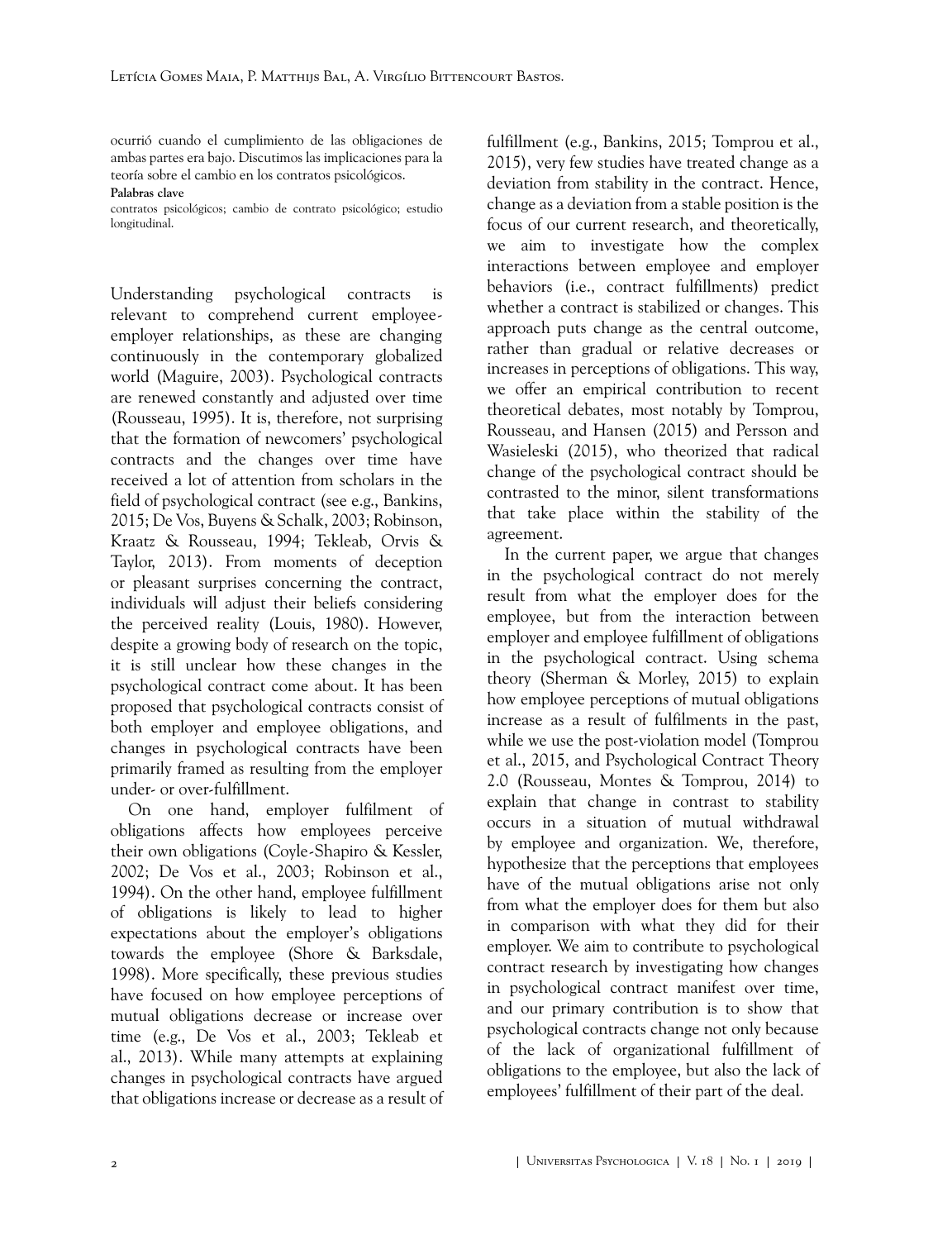ocurrió cuando el cumplimiento de las obligaciones de ambas partes era bajo. Discutimos las implicaciones para la teoría sobre el cambio en los contratos psicológicos.

**Palabras clave**

contratos psicológicos; cambio de contrato psicológico; estudio longitudinal.

Understanding psychological contracts is relevant to comprehend current employeeemployer relationships, as these are changing continuously in the contemporary globalized world ([Maguire, 2003\)](#page-11-0). Psychological contracts are renewed constantly and adjusted over time ([Rousseau, 1995\)](#page-11-1). It is, therefore, not surprising that the formation of newcomers' psychological contracts and the changes over time have received a lot of attention from scholars in the field of psychological contract (see e.g., [Bankins,](#page-10-0) [2015;](#page-10-0) [De Vos, Buyens & Schalk, 2003](#page-10-1); [Robinson,](#page-11-2) [Kraatz & Rousseau, 1994](#page-11-2); [Tekleab, Orvis &](#page-12-1) [Taylor, 2013](#page-12-1)). From moments of deception or pleasant surprises concerning the contract, individuals will adjust their beliefs considering the perceived reality ([Louis, 1980\)](#page-11-3). However, despite a growing body of research on the topic, it is still unclear how these changes in the psychological contract come about. It has been proposed that psychological contracts consist of both employer and employee obligations, and changes in psychological contracts have been primarily framed as resulting from the employer under- or over-fulfillment.

On one hand, employer fulfilment of obligations affects how employees perceive their own obligations [\(Coyle-Shapiro & Kessler,](#page-10-2) [2002;](#page-10-2) [De Vos et al., 2003;](#page-10-1) [Robinson et al.,](#page-11-2) [1994\)](#page-11-2). On the other hand, employee fulfillment of obligations is likely to lead to higher expectations about the employer's obligations towards the employee ([Shore & Barksdale,](#page-11-4) [1998\)](#page-11-4). More specifically, these previous studies have focused on how employee perceptions of mutual obligations decrease or increase over time (e.g., [De Vos et al., 2003;](#page-10-1) [Tekleab et](#page-12-1) [al., 2013](#page-12-1)). While many attempts at explaining changes in psychological contracts have argued that obligations increase or decrease as a result of fulfillment (e.g., [Bankins, 2015](#page-10-0); [Tomprou et al.,](#page-12-2) [2015\)](#page-12-2), very few studies have treated change as a deviation from stability in the contract. Hence, change as a deviation from a stable position is the focus of our current research, and theoretically, we aim to investigate how the complex interactions between employee and employer behaviors (i.e., contract fulfillments) predict whether a contract is stabilized or changes. This approach puts change as the central outcome, rather than gradual or relative decreases or increases in perceptions of obligations. This way, we offer an empirical contribution to recent theoretical debates, most notably by [Tomprou,](#page-12-2) [Rousseau, and Hansen \(2015\)](#page-12-2) and [Persson and](#page-11-5) [Wasieleski \(2015\),](#page-11-5) who theorized that radical change of the psychological contract should be contrasted to the minor, silent transformations that take place within the stability of the agreement.

In the current paper, we argue that changes in the psychological contract do not merely result from what the employer does for the employee, but from the interaction between employer and employee fulfillment of obligations in the psychological contract. Using schema theory [\(Sherman & Morley, 2015\)](#page-11-6) to explain how employee perceptions of mutual obligations increase as a result of fulfilments in the past, while we use the post-violation model ([Tomprou](#page-12-2) [et al., 2015,](#page-12-2) and Psychological Contract Theory 2.0 ([Rousseau, Montes & Tomprou, 2014](#page-11-7)) to explain that change in contrast to stability occurs in a situation of mutual withdrawal by employee and organization. We, therefore, hypothesize that the perceptions that employees have of the mutual obligations arise not only from what the employer does for them but also in comparison with what they did for their employer. We aim to contribute to psychological contract research by investigating how changes in psychological contract manifest over time, and our primary contribution is to show that psychological contracts change not only because of the lack of organizational fulfillment of obligations to the employee, but also the lack of employees' fulfillment of their part of the deal.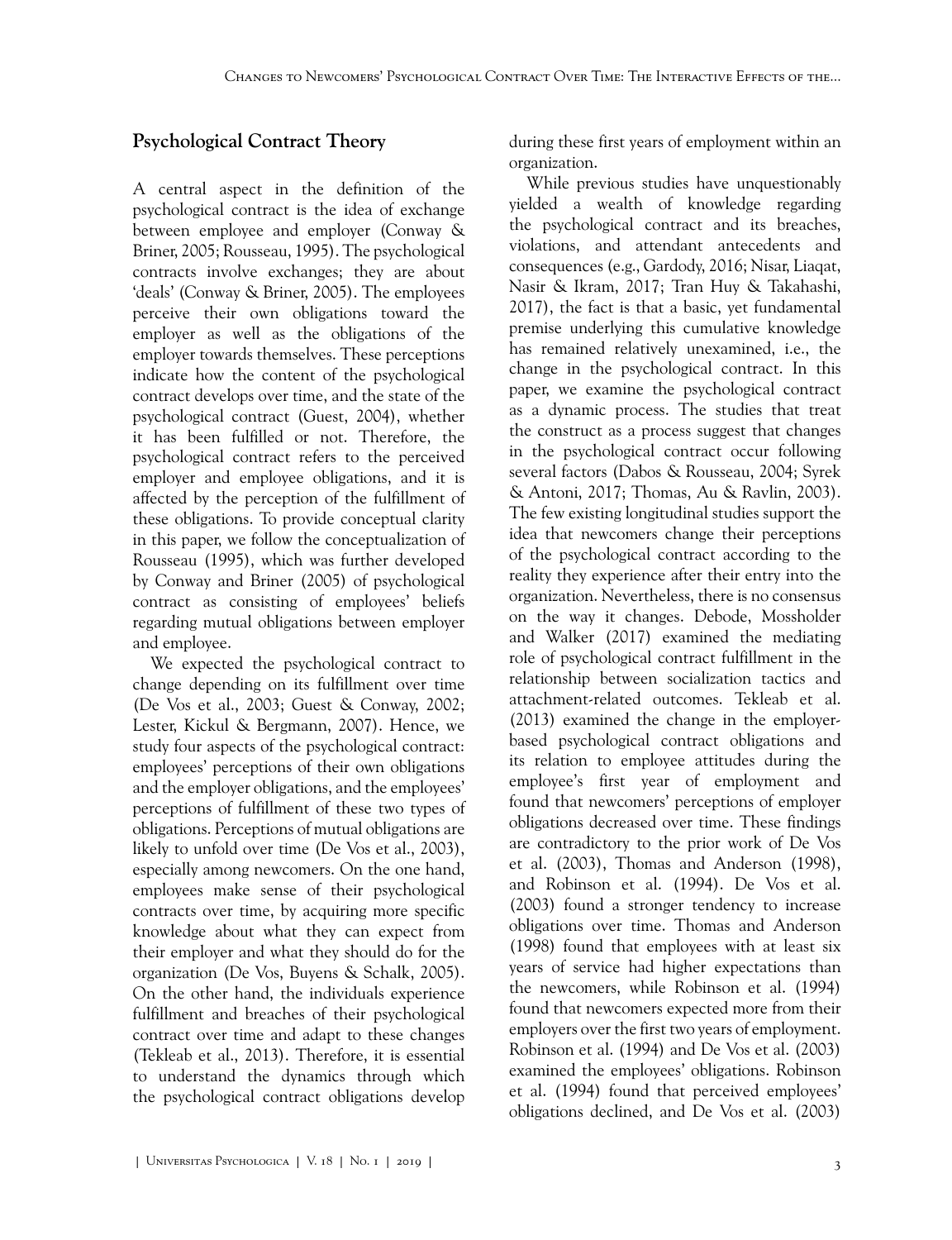### **Psychological Contract Theory**

A central aspect in the definition of the psychological contract is the idea of exchange between employee and employer [\(Conway &](#page-10-3) [Briner, 2005;](#page-10-3) [Rousseau, 1995\)](#page-11-1). The psychological contracts involve exchanges; they are about 'deals' [\(Conway & Briner, 2005](#page-10-3)). The employees perceive their own obligations toward the employer as well as the obligations of the employer towards themselves. These perceptions indicate how the content of the psychological contract develops over time, and the state of the psychological contract [\(Guest, 2004\)](#page-11-8), whether it has been fulfilled or not. Therefore, the psychological contract refers to the perceived employer and employee obligations, and it is affected by the perception of the fulfillment of these obligations. To provide conceptual clarity in this paper, we follow the conceptualization of [Rousseau \(1995\)](#page-11-1), which was further developed by [Conway and Briner \(2005\)](#page-10-3) of psychological contract as consisting of employees' beliefs regarding mutual obligations between employer and employee.

We expected the psychological contract to change depending on its fulfillment over time [\(De Vos et al., 2003](#page-10-1); [Guest & Conway, 2002;](#page-11-9) [Lester, Kickul & Bergmann, 2007](#page-11-10)). Hence, we study four aspects of the psychological contract: employees' perceptions of their own obligations and the employer obligations, and the employees' perceptions of fulfillment of these two types of obligations. Perceptions of mutual obligations are likely to unfold over time [\(De Vos et al., 2003\)](#page-10-1), especially among newcomers. On the one hand, employees make sense of their psychological contracts over time, by acquiring more specific knowledge about what they can expect from their employer and what they should do for the organization ([De Vos, Buyens & Schalk, 2005\)](#page-10-4). On the other hand, the individuals experience fulfillment and breaches of their psychological contract over time and adapt to these changes [\(Tekleab et al., 2013](#page-12-1)). Therefore, it is essential to understand the dynamics through which the psychological contract obligations develop during these first years of employment within an organization.

While previous studies have unquestionably yielded a wealth of knowledge regarding the psychological contract and its breaches, violations, and attendant antecedents and consequences (e.g., [Gardody, 2016;](#page-10-5) [Nisar, Liaqat,](#page-11-11) [Nasir & Ikram, 2017;](#page-11-11) [Tran Huy & Takahashi,](#page-12-3) [2017\)](#page-12-3), the fact is that a basic, yet fundamental premise underlying this cumulative knowledge has remained relatively unexamined, i.e., the change in the psychological contract. In this paper, we examine the psychological contract as a dynamic process. The studies that treat the construct as a process suggest that changes in the psychological contract occur following several factors ([Dabos & Rousseau, 2004;](#page-10-6) [Syrek](#page-12-4) [& Antoni, 2017](#page-12-4); [Thomas, Au & Ravlin, 2003\)](#page-12-5). The few existing longitudinal studies support the idea that newcomers change their perceptions of the psychological contract according to the reality they experience after their entry into the organization. Nevertheless, there is no consensus on the way it changes. [Debode, Mossholder](#page-10-7) [and Walker \(2017\)](#page-10-7) examined the mediating role of psychological contract fulfillment in the relationship between socialization tactics and attachment-related outcomes. [Tekleab et al.](#page-12-1) [\(2013\)](#page-12-1) examined the change in the employerbased psychological contract obligations and its relation to employee attitudes during the employee's first year of employment and found that newcomers' perceptions of employer obligations decreased over time. These findings are contradictory to the prior work of [De Vos](#page-10-1) [et al. \(2003\),](#page-10-1) [Thomas and Anderson \(1998\),](#page-12-6) and [Robinson et al. \(1994\).](#page-11-2) [De Vos et al.](#page-10-1) [\(2003\)](#page-10-1) found a stronger tendency to increase obligations over time. [Thomas and Anderson](#page-12-6) [\(1998\)](#page-12-6) found that employees with at least six years of service had higher expectations than the newcomers, while [Robinson et al. \(1994\)](#page-11-2) found that newcomers expected more from their employers over the first two years of employment. [Robinson et al. \(1994\)](#page-11-2) and [De Vos et al. \(2003\)](#page-10-1) examined the employees' obligations. [Robinson](#page-11-2) [et al. \(1994\)](#page-11-2) found that perceived employees' obligations declined, and [De Vos et al. \(2003\)](#page-10-1)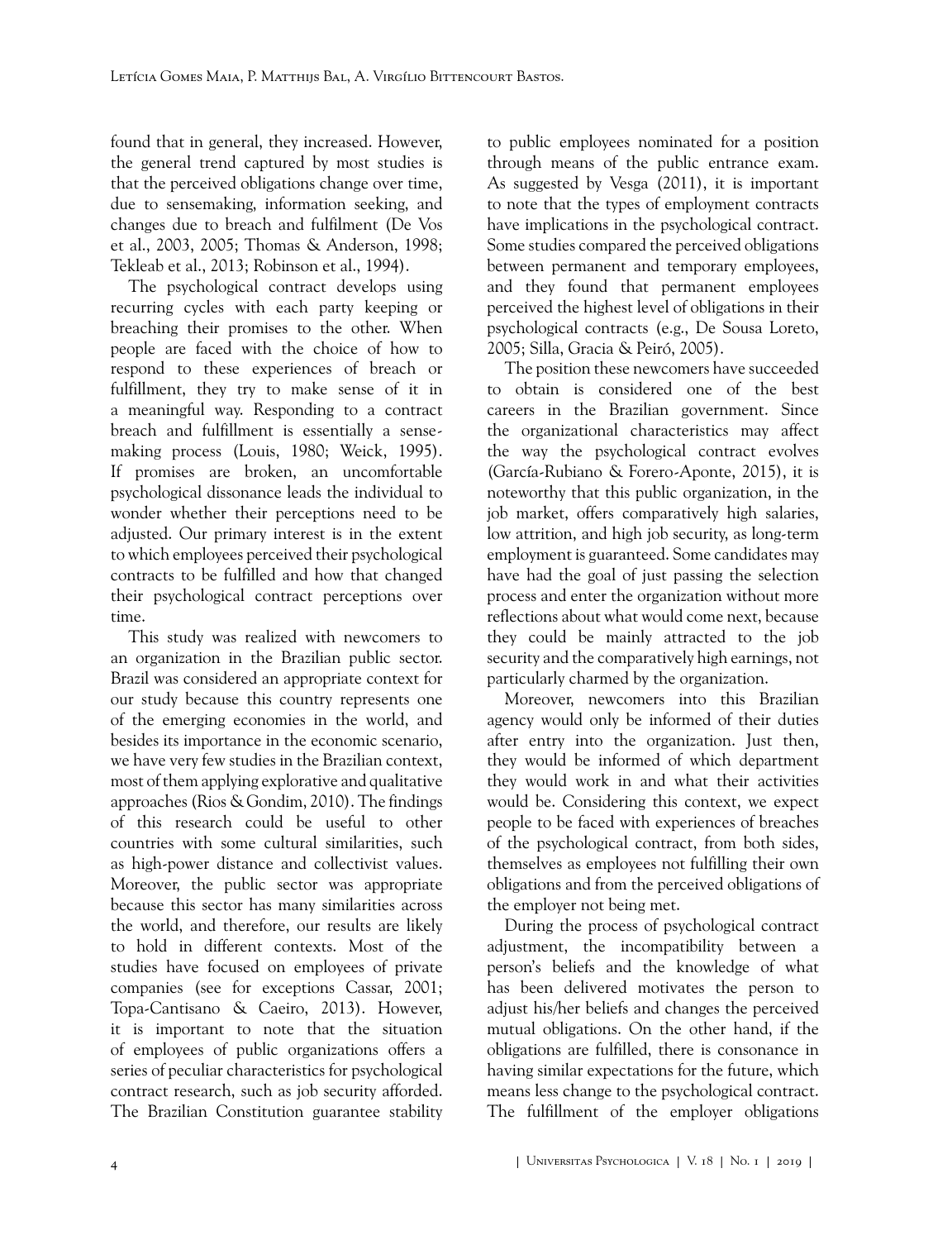found that in general, they increased. However, the general trend captured by most studies is that the perceived obligations change over time, due to sensemaking, information seeking, and changes due to breach and fulfilment [\(De Vos](#page-10-1) [et al., 2003,](#page-10-1) [2005;](#page-10-4) [Thomas & Anderson, 1998](#page-12-6); [Tekleab et al., 2013](#page-12-1); [Robinson et al., 1994\)](#page-11-2).

The psychological contract develops using recurring cycles with each party keeping or breaching their promises to the other. When people are faced with the choice of how to respond to these experiences of breach or fulfillment, they try to make sense of it in a meaningful way. Responding to a contract breach and fulfillment is essentially a sensemaking process ([Louis, 1980;](#page-11-3) [Weick, 1995\)](#page-12-7). If promises are broken, an uncomfortable psychological dissonance leads the individual to wonder whether their perceptions need to be adjusted. Our primary interest is in the extent to which employees perceived their psychological contracts to be fulfilled and how that changed their psychological contract perceptions over time.

This study was realized with newcomers to an organization in the Brazilian public sector. Brazil was considered an appropriate context for our study because this country represents one of the emerging economies in the world, and besides its importance in the economic scenario, we have very few studies in the Brazilian context, most of them applying explorative and qualitative approaches [\(Rios & Gondim, 2010](#page-11-12)). The findings of this research could be useful to other countries with some cultural similarities, such as high-power distance and collectivist values. Moreover, the public sector was appropriate because this sector has many similarities across the world, and therefore, our results are likely to hold in different contexts. Most of the studies have focused on employees of private companies (see for exceptions [Cassar, 2001](#page-10-8); [Topa-Cantisano & Caeiro, 2013](#page-12-8)). However, it is important to note that the situation of employees of public organizations offers a series of peculiar characteristics for psychological contract research, such as job security afforded. The Brazilian Constitution guarantee stability

to public employees nominated for a position through means of the public entrance exam. As suggested by [Vesga \(2011\)](#page-12-9), it is important to note that the types of employment contracts have implications in the psychological contract. Some studies compared the perceived obligations between permanent and temporary employees, and they found that permanent employees perceived the highest level of obligations in their psychological contracts (e.g., [De Sousa Loreto,](#page-10-9) [2005;](#page-10-9) [Silla, Gracia & Peiró, 2005\)](#page-11-13).

The position these newcomers have succeeded to obtain is considered one of the best careers in the Brazilian government. Since the organizational characteristics may affect the way the psychological contract evolves ([García-Rubiano & Forero-Aponte, 2015\)](#page-10-10), it is noteworthy that this public organization, in the job market, offers comparatively high salaries, low attrition, and high job security, as long-term employment is guaranteed. Some candidates may have had the goal of just passing the selection process and enter the organization without more reflections about what would come next, because they could be mainly attracted to the job security and the comparatively high earnings, not particularly charmed by the organization.

Moreover, newcomers into this Brazilian agency would only be informed of their duties after entry into the organization. Just then, they would be informed of which department they would work in and what their activities would be. Considering this context, we expect people to be faced with experiences of breaches of the psychological contract, from both sides, themselves as employees not fulfilling their own obligations and from the perceived obligations of the employer not being met.

During the process of psychological contract adjustment, the incompatibility between a person's beliefs and the knowledge of what has been delivered motivates the person to adjust his/her beliefs and changes the perceived mutual obligations. On the other hand, if the obligations are fulfilled, there is consonance in having similar expectations for the future, which means less change to the psychological contract. The fulfillment of the employer obligations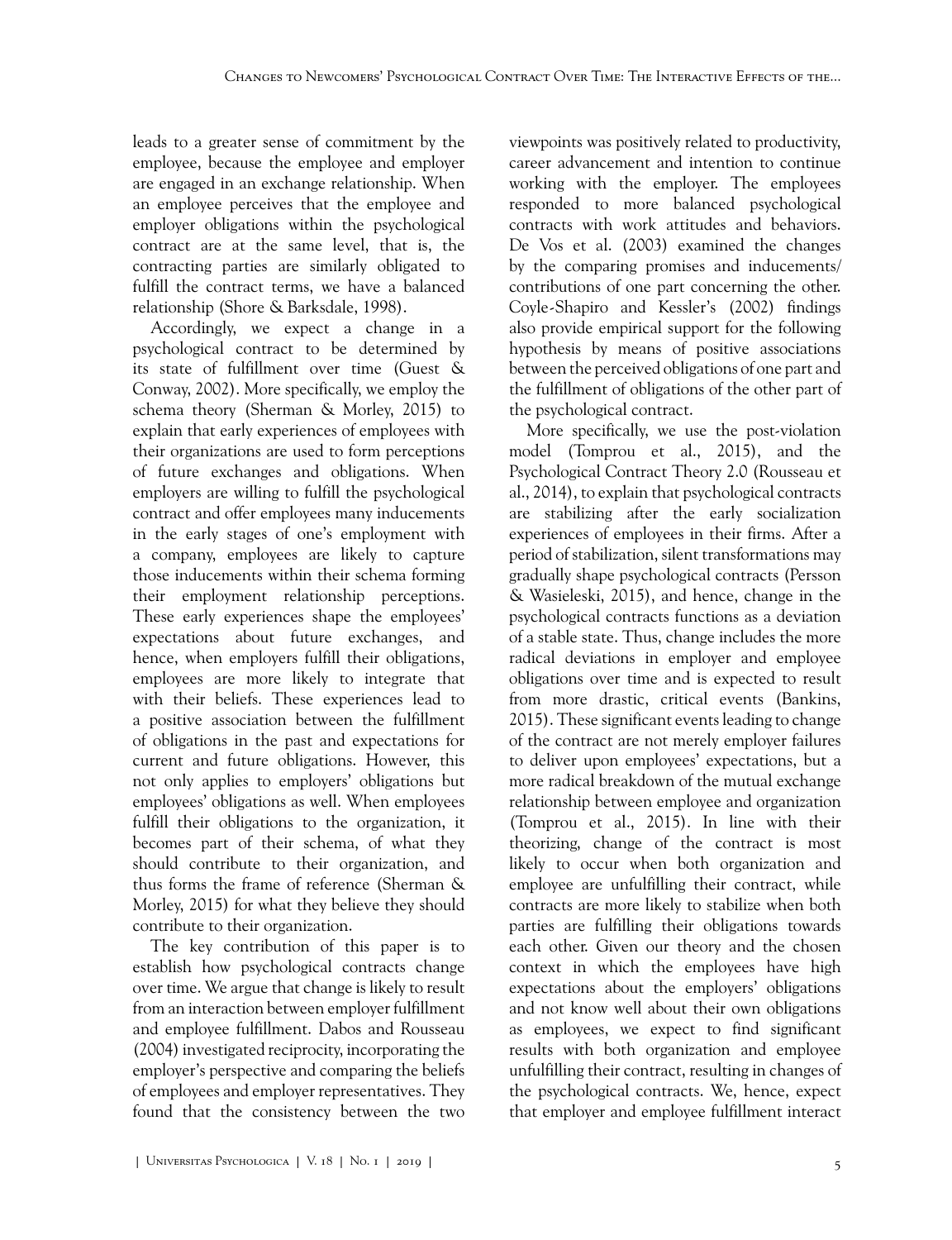leads to a greater sense of commitment by the employee, because the employee and employer are engaged in an exchange relationship. When an employee perceives that the employee and employer obligations within the psychological contract are at the same level, that is, the contracting parties are similarly obligated to fulfill the contract terms, we have a balanced relationship ([Shore & Barksdale, 1998\)](#page-11-4).

Accordingly, we expect a change in a psychological contract to be determined by its state of fulfillment over time ([Guest &](#page-11-9) [Conway, 2002\)](#page-11-9). More specifically, we employ the schema theory [\(Sherman & Morley, 2015](#page-11-6)) to explain that early experiences of employees with their organizations are used to form perceptions of future exchanges and obligations. When employers are willing to fulfill the psychological contract and offer employees many inducements in the early stages of one's employment with a company, employees are likely to capture those inducements within their schema forming their employment relationship perceptions. These early experiences shape the employees' expectations about future exchanges, and hence, when employers fulfill their obligations, employees are more likely to integrate that with their beliefs. These experiences lead to a positive association between the fulfillment of obligations in the past and expectations for current and future obligations. However, this not only applies to employers' obligations but employees' obligations as well. When employees fulfill their obligations to the organization, it becomes part of their schema, of what they should contribute to their organization, and thus forms the frame of reference ([Sherman &](#page-11-6) [Morley, 2015\)](#page-11-6) for what they believe they should contribute to their organization.

The key contribution of this paper is to establish how psychological contracts change over time. We argue that change is likely to result from an interaction between employer fulfillment and employee fulfillment. [Dabos and Rousseau](#page-10-6) [\(2004\)](#page-10-6) investigated reciprocity, incorporating the employer's perspective and comparing the beliefs of employees and employer representatives. They found that the consistency between the two viewpoints was positively related to productivity, career advancement and intention to continue working with the employer. The employees responded to more balanced psychological contracts with work attitudes and behaviors. [De Vos et al. \(2003\)](#page-10-1) examined the changes by the comparing promises and inducements/ contributions of one part concerning the other. [Coyle-Shapiro and Kessler's \(2002\)](#page-10-2) findings also provide empirical support for the following hypothesis by means of positive associations between the perceived obligations of one part and the fulfillment of obligations of the other part of the psychological contract.

More specifically, we use the post-violation model [\(Tomprou et al., 2015\)](#page-12-2), and the Psychological Contract Theory 2.0 ([Rousseau et](#page-11-7) [al., 2014](#page-11-7)), to explain that psychological contracts are stabilizing after the early socialization experiences of employees in their firms. After a period of stabilization, silent transformations may gradually shape psychological contracts ([Persson](#page-11-5) [& Wasieleski, 2015\)](#page-11-5), and hence, change in the psychological contracts functions as a deviation of a stable state. Thus, change includes the more radical deviations in employer and employee obligations over time and is expected to result from more drastic, critical events [\(Bankins,](#page-10-0) [2015\)](#page-10-0). These significant events leading to change of the contract are not merely employer failures to deliver upon employees' expectations, but a more radical breakdown of the mutual exchange relationship between employee and organization [\(Tomprou et al., 2015\)](#page-12-2). In line with their theorizing, change of the contract is most likely to occur when both organization and employee are unfulfilling their contract, while contracts are more likely to stabilize when both parties are fulfilling their obligations towards each other. Given our theory and the chosen context in which the employees have high expectations about the employers' obligations and not know well about their own obligations as employees, we expect to find significant results with both organization and employee unfulfilling their contract, resulting in changes of the psychological contracts. We, hence, expect that employer and employee fulfillment interact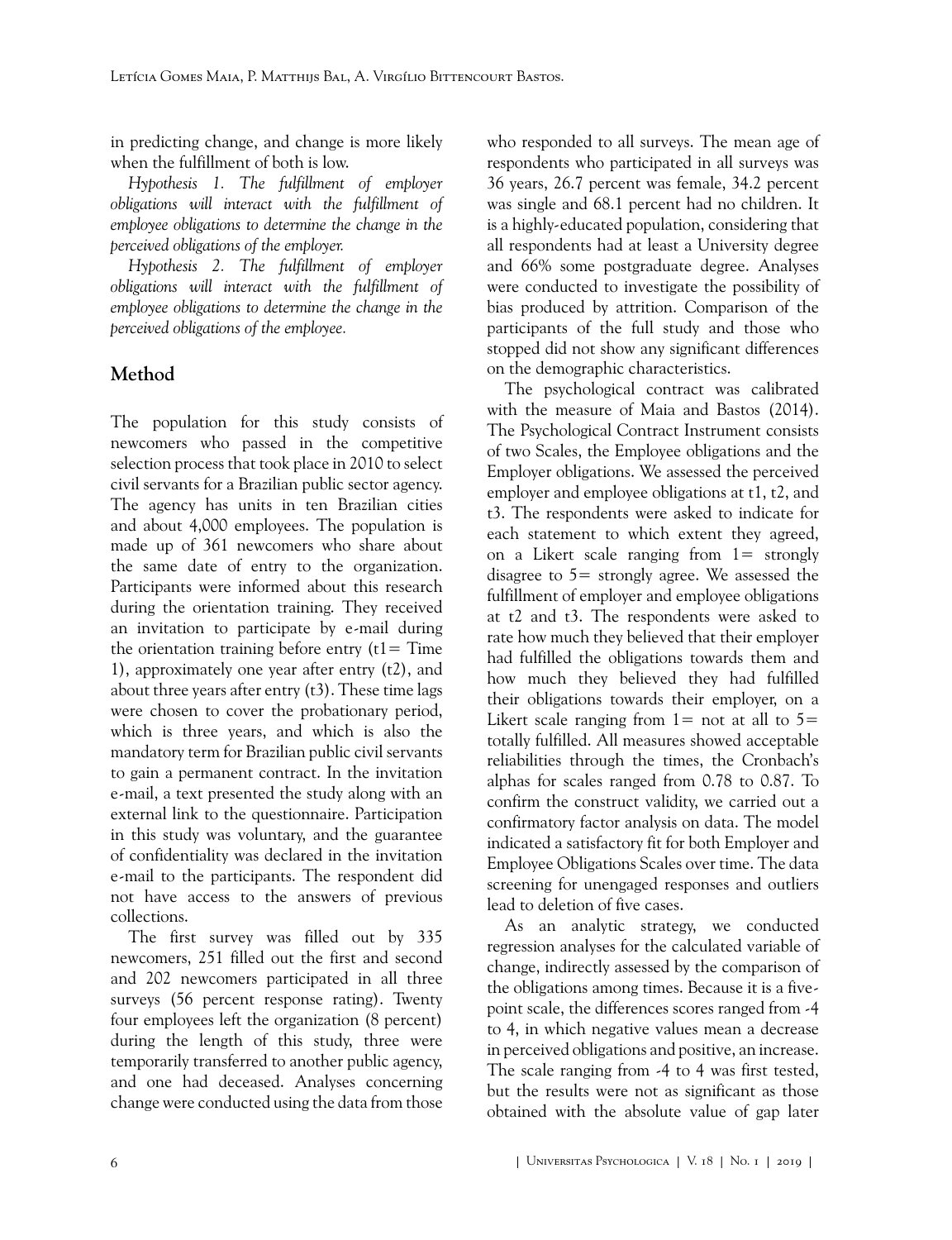in predicting change, and change is more likely when the fulfillment of both is low.

*Hypothesis 1. The fulfillment of employer obligations will interact with the fulfillment of employee obligations to determine the change in the perceived obligations of the employer.*

*Hypothesis 2. The fulfillment of employer obligations will interact with the fulfillment of employee obligations to determine the change in the perceived obligations of the employee.*

# **Method**

The population for this study consists of newcomers who passed in the competitive selection process that took place in 2010 to select civil servants for a Brazilian public sector agency. The agency has units in ten Brazilian cities and about 4,000 employees. The population is made up of 361 newcomers who share about the same date of entry to the organization. Participants were informed about this research during the orientation training. They received an invitation to participate by e-mail during the orientation training before entry  $(t1=$  Time 1), approximately one year after entry (t2), and about three years after entry (t3). These time lags were chosen to cover the probationary period, which is three years, and which is also the mandatory term for Brazilian public civil servants to gain a permanent contract. In the invitation e-mail, a text presented the study along with an external link to the questionnaire. Participation in this study was voluntary, and the guarantee of confidentiality was declared in the invitation e-mail to the participants. The respondent did not have access to the answers of previous collections.

The first survey was filled out by 335 newcomers, 251 filled out the first and second and 202 newcomers participated in all three surveys (56 percent response rating). Twenty four employees left the organization (8 percent) during the length of this study, three were temporarily transferred to another public agency, and one had deceased. Analyses concerning change were conducted using the data from those

who responded to all surveys. The mean age of respondents who participated in all surveys was 36 years, 26.7 percent was female, 34.2 percent was single and 68.1 percent had no children. It is a highly-educated population, considering that all respondents had at least a University degree and 66% some postgraduate degree. Analyses were conducted to investigate the possibility of bias produced by attrition. Comparison of the participants of the full study and those who stopped did not show any significant differences on the demographic characteristics.

The psychological contract was calibrated with the measure of [Maia and Bastos \(2014\).](#page-11-14) The Psychological Contract Instrument consists of two Scales, the Employee obligations and the Employer obligations. We assessed the perceived employer and employee obligations at t1, t2, and t3. The respondents were asked to indicate for each statement to which extent they agreed, on a Likert scale ranging from  $1=$  strongly disagree to 5= strongly agree. We assessed the fulfillment of employer and employee obligations at t2 and t3. The respondents were asked to rate how much they believed that their employer had fulfilled the obligations towards them and how much they believed they had fulfilled their obligations towards their employer, on a Likert scale ranging from  $1=$  not at all to  $5=$ totally fulfilled. All measures showed acceptable reliabilities through the times, the Cronbach's alphas for scales ranged from 0.78 to 0.87. To confirm the construct validity, we carried out a confirmatory factor analysis on data. The model indicated a satisfactory fit for both Employer and Employee Obligations Scales over time. The data screening for unengaged responses and outliers lead to deletion of five cases.

As an analytic strategy, we conducted regression analyses for the calculated variable of change, indirectly assessed by the comparison of the obligations among times. Because it is a fivepoint scale, the differences scores ranged from -4 to 4, in which negative values mean a decrease in perceived obligations and positive, an increase. The scale ranging from -4 to 4 was first tested, but the results were not as significant as those obtained with the absolute value of gap later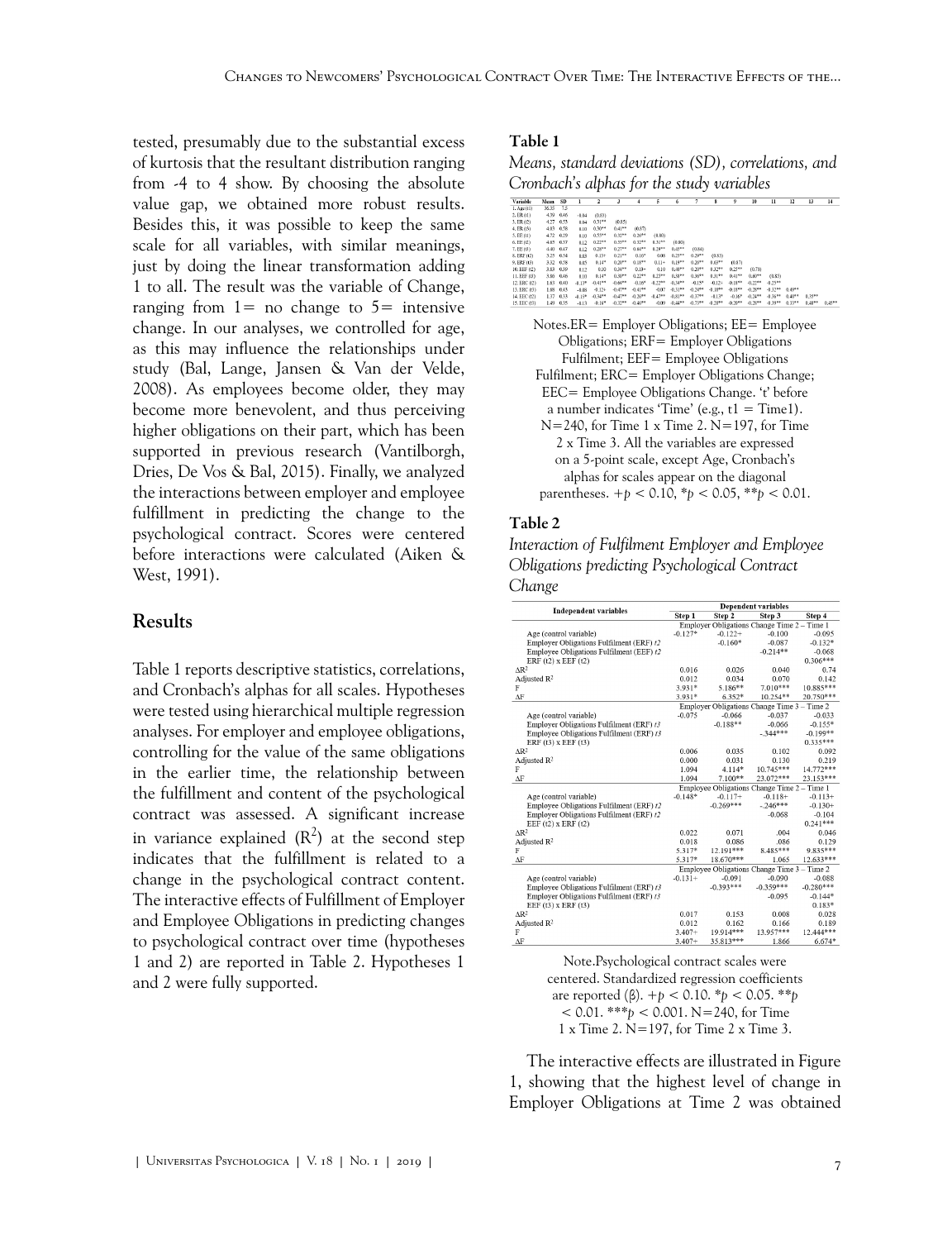tested, presumably due to the substantial excess of kurtosis that the resultant distribution ranging from -4 to 4 show. By choosing the absolute value gap, we obtained more robust results. Besides this, it was possible to keep the same scale for all variables, with similar meanings, just by doing the linear transformation adding 1 to all. The result was the variable of Change, ranging from  $1=$  no change to  $5=$  intensive change. In our analyses, we controlled for age, as this may influence the relationships under study [\(Bal, Lange, Jansen & Van der Velde,](#page-10-11) [2008\)](#page-10-11). As employees become older, they may become more benevolent, and thus perceiving higher obligations on their part, which has been supported in previous research [\(Vantilborgh,](#page-12-10) [Dries, De Vos & Bal, 2015](#page-12-10)). Finally, we analyzed the interactions between employer and employee fulfillment in predicting the change to the psychological contract. Scores were centered before interactions were calculated ([Aiken &](#page-10-12) [West, 1991](#page-10-12)).

#### **Results**

[Table 1](#page-6-0) reports descriptive statistics, correlations, and Cronbach's alphas for all scales. Hypotheses were tested using hierarchical multiple regression analyses. For employer and employee obligations, controlling for the value of the same obligations in the earlier time, the relationship between the fulfillment and content of the psychological contract was assessed. A significant increase in variance explained  $(\mathbf{R}^2)$  at the second step indicates that the fulfillment is related to a change in the psychological contract content. The interactive effects of Fulfillment of Employer and Employee Obligations in predicting changes to psychological contract over time (hypotheses 1 and 2) are reported in [Table 2](#page-6-1). Hypotheses 1 and 2 were fully supported.

#### <span id="page-6-0"></span>Table 1

| Means, standard deviations (SD), correlations, and |  |
|----------------------------------------------------|--|
| Cronbach's alphas for the study variables          |  |

|                 |       |           |           | ┻          |            | u          |           |            | ◡         |            |            |            |            |          |          |          |
|-----------------|-------|-----------|-----------|------------|------------|------------|-----------|------------|-----------|------------|------------|------------|------------|----------|----------|----------|
| Variable        | Mean  | <b>SD</b> |           | 2          | 3          | 4          | 5         | 6          | 7         | 8          | 9          | 10         | 11         | 12       | 13       | 14       |
| $1.$ Age $(t1)$ | 36.35 | 7.5       |           |            |            |            |           |            |           |            |            |            |            |          |          |          |
| 2.ER(t1)        | 4.39  | 0.46      | $-0.04$   | (0.83)     |            |            |           |            |           |            |            |            |            |          |          |          |
| 3. ER (t2)      | 4.27  | 0.53      | 0.04      | $0.31**$   | (0.85)     |            |           |            |           |            |            |            |            |          |          |          |
| 4. ER (t3)      | 4.03  | 0.58      | 0.10      | $0.30**$   | $0.41***$  | (0.87)     |           |            |           |            |            |            |            |          |          |          |
| 5. EE (11)      | 4.72  | 0.29      | 0.10      | $0.55**$   | 0.32**     | $0.26***$  | (0.80)    |            |           |            |            |            |            |          |          |          |
| 6.EE(12)        | 4.65  | 0.37      | 0.12      | $0.22**$   | 0.55**     | $0.32**$   | $0.31**$  | (0.80)     |           |            |            |            |            |          |          |          |
| 7. EE (13)      | 4.40  | 0.47      | 0.12      | $0.28**$   | $0.27**$   | $0.64**$   | $0.29**$  | $0.45**$   | (0.84)    |            |            |            |            |          |          |          |
| 8. ERF (t2)     | 3.25  | 0.54      | 0.03      | $0.13+$    | $0.21***$  | $0.16*$    | 0.08      | $0.25**$   | $0.29**$  | (0.83)     |            |            |            |          |          |          |
| 9. ERF (t3)     | 3.32  | 0.58      | 0.05      | $0.14*$    | $0.20***$  | $0.18**$   | $0.11 +$  | $0.19**$   | $0.26**$  | $0.63***$  | (0.87)     |            |            |          |          |          |
| 10. EEF (t2)    | 3.83  | 0.39      | 0.12      | 0.10       | $0.34**$   | $0.13+$    | 0.10      | $0.40**$   | $0.20**$  | $0.32**$   | $0.25**$   | (0.78)     |            |          |          |          |
| 11. EEF (t3)    | 3.86  | 0.46      | 0.10      | $0.14*$    | $0.30**$   | $0.22**$   | $0.25**$  | $0.38**$   | $0.36***$ | $0.31***$  | $0.41**$   | $0.60**$   | (0.85)     |          |          |          |
| 12. ERC (t2)    | 1.63  | 0.40      | $-0.13*$  | $-0.41**$  | $-0.64**$  | $-0.16*$   | $-0.22**$ | $-0.34**$  | $-0.15*$  | $-0.12+$   | $-0.18***$ | $-0.22***$ | $-0.25***$ |          |          |          |
| 13. ERC (t3)    | 1.68  | 0.43      | $-0.08$   | $-0.12+$   | $-0.47**$  | $-0.41***$ | $-0.07$   | $-0.31***$ | $-0.24**$ | $-0.18***$ | $-0.18***$ | $-0.28**$  | $-0.32**$  | $0.49**$ |          |          |
| 14. EEC (t2)    | 1.37  | 0.33      | $-0.15$ * | $-0.34***$ | $-0.47**$  | $-0.26**$  | $-0.47**$ | $-0.81***$ | $-0.37**$ | $-0.13*$   | $-0.16*$   | $-0.24***$ | $-0.36***$ | $0.40**$ | $0.35**$ |          |
| 15. EEC (t3)    | 1.49  | 0.35      | $-0.13$   | $-0.16*$   | $-0.32***$ | $-0.46***$ | $-0.09$   | $-0.44***$ | $-0.73**$ | $-0.28***$ | $-0.20**$  | $-0.28***$ | $-0.39**$  | $0.33**$ | $0.48**$ | $0.45**$ |

Notes.ER= Employer Obligations; EE= Employee Obligations; ERF= Employer Obligations Fulfilment; EEF= Employee Obligations Fulfilment; ERC= Employer Obligations Change; EEC= Employee Obligations Change. 't' before a number indicates 'Time' (e.g.,  $t1 = Time1$ ).  $N=240$ , for Time 1 x Time 2.  $N=197$ , for Time 2 x Time 3. All the variables are expressed on a 5-point scale, except Age, Cronbach's alphas for scales appear on the diagonal parentheses. +*p* < 0.10, \**p* < 0.05, \*\**p* < 0.01.

#### <span id="page-6-1"></span>Table 2

*Interaction of Fulfilment Employer and Employee Obligations predicting Psychological Contract Change*

|                                          | <b>Dependent variables</b>                  |                                             |             |             |  |  |  |  |  |  |  |  |
|------------------------------------------|---------------------------------------------|---------------------------------------------|-------------|-------------|--|--|--|--|--|--|--|--|
| <b>Independent variables</b>             | Step 1                                      | Step 2                                      | Step 3      | Step 4      |  |  |  |  |  |  |  |  |
|                                          | Employer Obligations Change Time 2 - Time 1 |                                             |             |             |  |  |  |  |  |  |  |  |
| Age (control variable)                   | $-0.127*$                                   | $-0.122+$                                   | $-0.100$    | $-0.095$    |  |  |  |  |  |  |  |  |
| Employer Obligations Fulfilment (ERF) t2 |                                             | $-0.160*$                                   | $-0.087$    | $-0.132*$   |  |  |  |  |  |  |  |  |
| Employee Obligations Fulfilment (EEF) t2 |                                             |                                             | $-0.214**$  | $-0.068$    |  |  |  |  |  |  |  |  |
| ERF $(t2)$ x EEF $(t2)$                  |                                             |                                             |             | $0.306***$  |  |  |  |  |  |  |  |  |
| $\Delta$ R <sup>2</sup>                  | 0.016                                       | 0.026                                       | 0.040       | 0.74        |  |  |  |  |  |  |  |  |
| Adjusted $\mathbb{R}^2$                  | 0.012                                       | 0.034                                       | 0.070       | 0.142       |  |  |  |  |  |  |  |  |
| F                                        | 3.931*                                      | $5.186**$                                   | $7.010***$  | 10.885***   |  |  |  |  |  |  |  |  |
| $\Delta F$                               | 3.931*                                      | $6.352*$                                    | $10.254**$  | 20.750***   |  |  |  |  |  |  |  |  |
|                                          | Employer Obligations Change Time 3 - Time 2 |                                             |             |             |  |  |  |  |  |  |  |  |
| Age (control variable)                   | $-0.075$                                    | $-0.066$                                    | $-0.037$    | $-0.033$    |  |  |  |  |  |  |  |  |
| Employer Obligations Fulfilment (ERF) t3 |                                             | $-0.188**$                                  | $-0.066$    | $-0.155*$   |  |  |  |  |  |  |  |  |
| Employee Obligations Fulfilment (ERF) t3 |                                             |                                             | $-344***$   | $-0.199**$  |  |  |  |  |  |  |  |  |
| ERF $(t3)$ x EEF $(t3)$                  |                                             |                                             |             | $0.335***$  |  |  |  |  |  |  |  |  |
| $\Delta$ R <sup>2</sup>                  | 0.006                                       | 0.035                                       | 0.102       | 0.092       |  |  |  |  |  |  |  |  |
| Adjusted $\mathbb{R}^2$                  | 0.000                                       | 0.031                                       | 0.130       | 0.219       |  |  |  |  |  |  |  |  |
| F                                        | 1.094                                       | $4.114*$                                    | $10.745***$ | 14.772***   |  |  |  |  |  |  |  |  |
| $\Delta F$                               | 1.094                                       | $7.100**$                                   | 23.072***   | 23.153***   |  |  |  |  |  |  |  |  |
|                                          | Employee Obligations Change Time 2 - Time 1 |                                             |             |             |  |  |  |  |  |  |  |  |
| Age (control variable)                   | $-0.148*$                                   | $-0.117+$                                   | $-0.118+$   | $-0.113+$   |  |  |  |  |  |  |  |  |
| Employee Obligations Fulfilment (ERF) t2 |                                             | $-0.269***$                                 | $-246***$   | $-0.130+$   |  |  |  |  |  |  |  |  |
| Employer Obligations Fulfilment (ERF) t2 |                                             |                                             | $-0.068$    | $-0.104$    |  |  |  |  |  |  |  |  |
| EEF $(t2)$ x ERF $(t2)$                  |                                             |                                             |             | $0.241***$  |  |  |  |  |  |  |  |  |
| $\Delta$ R <sup>2</sup>                  | 0.022                                       | 0.071                                       | .004        | 0.046       |  |  |  |  |  |  |  |  |
| Adjusted $\mathbb{R}^2$                  | 0.018                                       | 0.086                                       | .086        | 0.129       |  |  |  |  |  |  |  |  |
| F                                        | 5.317*                                      | $12.191***$                                 | 8.485***    | 9.835***    |  |  |  |  |  |  |  |  |
| $\Delta F$                               | 5.317*                                      | 18.670***                                   | 1.065       | 12.633***   |  |  |  |  |  |  |  |  |
|                                          |                                             | Employee Obligations Change Time 3 - Time 2 |             |             |  |  |  |  |  |  |  |  |
| Age (control variable)                   | $-0.131+$                                   | $-0.091$                                    | $-0.090$    | $-0.088$    |  |  |  |  |  |  |  |  |
| Employee Obligations Fulfilment (ERF) t3 |                                             | $-0.393***$                                 | $-0.359***$ | $-0.280***$ |  |  |  |  |  |  |  |  |
| Employer Obligations Fulfilment (ERF) t3 |                                             |                                             | $-0.095$    | $-0.144*$   |  |  |  |  |  |  |  |  |
| EEF $(t3)$ x ERF $(t3)$                  |                                             |                                             |             | $0.183*$    |  |  |  |  |  |  |  |  |
| $\Delta \mathbf{R}^2$                    | 0.017                                       | 0.153                                       | 0.008       | 0.028       |  |  |  |  |  |  |  |  |
| Adjusted $\mathbb{R}^2$                  | 0.012                                       | 0.162                                       | 0.166       | 0.189       |  |  |  |  |  |  |  |  |
| F                                        | $3.407+$                                    | 19.914***                                   | 13.957***   | 12.444***   |  |  |  |  |  |  |  |  |
| ΔF                                       | $3.407+$                                    | 35.813***                                   | 1.866       | $6.674*$    |  |  |  |  |  |  |  |  |

Note.Psychological contract scales were centered. Standardized regression coefficients are reported (β). +*p* < 0.10. \**p* < 0.05. \*\**p* < 0.01. \*\*\**p* < 0.001. N=240, for Time 1 x Time 2. N=197, for Time 2 x Time 3.

The interactive effects are illustrated in [Figure](#page-7-0) [1](#page-7-0), showing that the highest level of change in Employer Obligations at Time 2 was obtained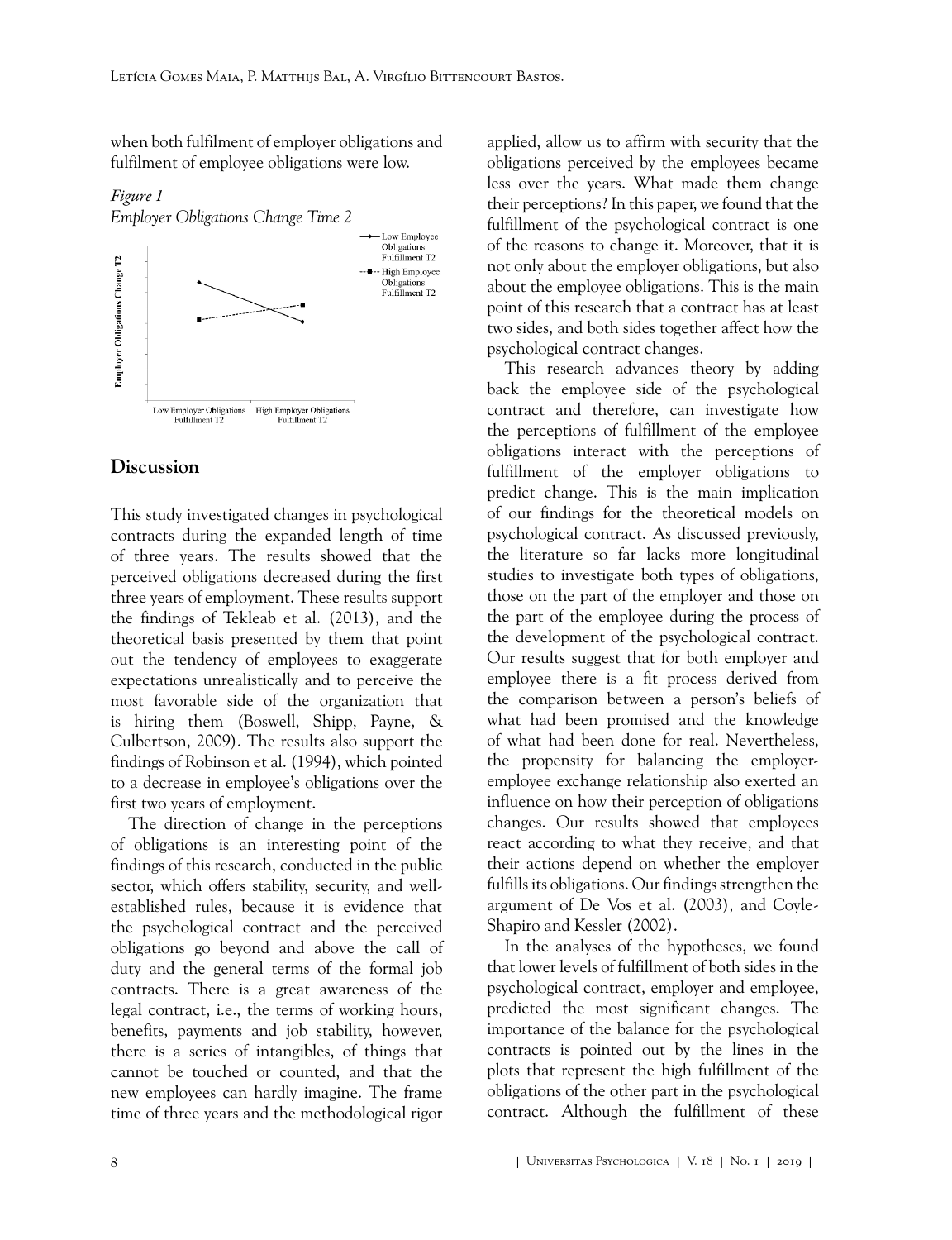when both fulfilment of employer obligations and fulfilment of employee obligations were low.

<span id="page-7-0"></span>*Figure 1 Employer Obligations Change Time 2*



### **Discussion**

This study investigated changes in psychological contracts during the expanded length of time of three years. The results showed that the perceived obligations decreased during the first three years of employment. These results support the findings of [Tekleab et al. \(2013\)](#page-12-1), and the theoretical basis presented by them that point out the tendency of employees to exaggerate expectations unrealistically and to perceive the most favorable side of the organization that is hiring them ([Boswell, Shipp, Payne, &](#page-10-13) [Culbertson, 2009\)](#page-10-13). The results also support the findings of [Robinson et al. \(1994\),](#page-11-2) which pointed to a decrease in employee's obligations over the first two years of employment.

The direction of change in the perceptions of obligations is an interesting point of the findings of this research, conducted in the public sector, which offers stability, security, and wellestablished rules, because it is evidence that the psychological contract and the perceived obligations go beyond and above the call of duty and the general terms of the formal job contracts. There is a great awareness of the legal contract, i.e., the terms of working hours, benefits, payments and job stability, however, there is a series of intangibles, of things that cannot be touched or counted, and that the new employees can hardly imagine. The frame time of three years and the methodological rigor applied, allow us to affirm with security that the obligations perceived by the employees became less over the years. What made them change their perceptions? In this paper, we found that the fulfillment of the psychological contract is one of the reasons to change it. Moreover, that it is not only about the employer obligations, but also about the employee obligations. This is the main point of this research that a contract has at least two sides, and both sides together affect how the psychological contract changes.

This research advances theory by adding back the employee side of the psychological contract and therefore, can investigate how the perceptions of fulfillment of the employee obligations interact with the perceptions of fulfillment of the employer obligations to predict change. This is the main implication of our findings for the theoretical models on psychological contract. As discussed previously, the literature so far lacks more longitudinal studies to investigate both types of obligations, those on the part of the employer and those on the part of the employee during the process of the development of the psychological contract. Our results suggest that for both employer and employee there is a fit process derived from the comparison between a person's beliefs of what had been promised and the knowledge of what had been done for real. Nevertheless, the propensity for balancing the employeremployee exchange relationship also exerted an influence on how their perception of obligations changes. Our results showed that employees react according to what they receive, and that their actions depend on whether the employer fulfills its obligations. Our findings strengthen the argument of [De Vos et al. \(2003\),](#page-10-1) and [Coyle-](#page-10-2)[Shapiro and Kessler \(2002\)](#page-10-2).

In the analyses of the hypotheses, we found that lower levels of fulfillment of both sides in the psychological contract, employer and employee, predicted the most significant changes. The importance of the balance for the psychological contracts is pointed out by the lines in the plots that represent the high fulfillment of the obligations of the other part in the psychological contract. Although the fulfillment of these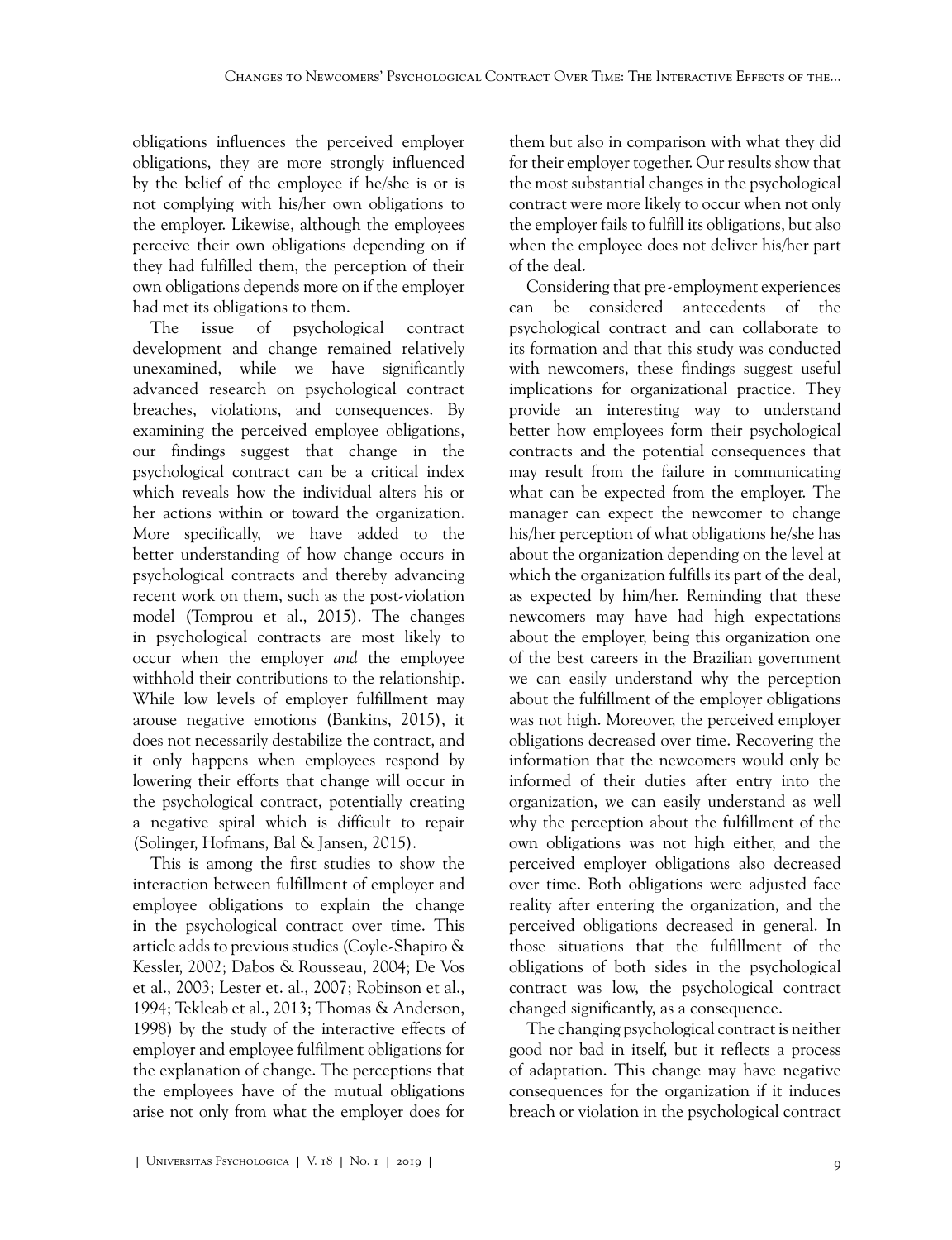obligations influences the perceived employer obligations, they are more strongly influenced by the belief of the employee if he/she is or is not complying with his/her own obligations to the employer. Likewise, although the employees perceive their own obligations depending on if they had fulfilled them, the perception of their own obligations depends more on if the employer had met its obligations to them.

The issue of psychological contract development and change remained relatively unexamined, while we have significantly advanced research on psychological contract breaches, violations, and consequences. By examining the perceived employee obligations, our findings suggest that change in the psychological contract can be a critical index which reveals how the individual alters his or her actions within or toward the organization. More specifically, we have added to the better understanding of how change occurs in psychological contracts and thereby advancing recent work on them, such as the post-violation model ([Tomprou et al., 2015\)](#page-12-2). The changes in psychological contracts are most likely to occur when the employer *and* the employee withhold their contributions to the relationship. While low levels of employer fulfillment may arouse negative emotions ([Bankins, 2015\)](#page-10-0), it does not necessarily destabilize the contract, and it only happens when employees respond by lowering their efforts that change will occur in the psychological contract, potentially creating a negative spiral which is difficult to repair [\(Solinger, Hofmans, Bal & Jansen, 2015](#page-12-11)).

This is among the first studies to show the interaction between fulfillment of employer and employee obligations to explain the change in the psychological contract over time. This article adds to previous studies [\(Coyle-Shapiro &](#page-10-2) [Kessler, 2002](#page-10-2); [Dabos & Rousseau, 2004;](#page-10-6) [De Vos](#page-10-1) [et al., 2003](#page-10-1); [Lester et. al., 2007](#page-11-10); [Robinson et al.,](#page-11-2) [1994;](#page-11-2) [Tekleab et al., 2013;](#page-12-1) [Thomas & Anderson,](#page-12-6) [1998\)](#page-12-6) by the study of the interactive effects of employer and employee fulfilment obligations for the explanation of change. The perceptions that the employees have of the mutual obligations arise not only from what the employer does for them but also in comparison with what they did for their employer together. Our results show that the most substantial changes in the psychological contract were more likely to occur when not only the employer fails to fulfill its obligations, but also when the employee does not deliver his/her part of the deal.

Considering that pre-employment experiences can be considered antecedents of the psychological contract and can collaborate to its formation and that this study was conducted with newcomers, these findings suggest useful implications for organizational practice. They provide an interesting way to understand better how employees form their psychological contracts and the potential consequences that may result from the failure in communicating what can be expected from the employer. The manager can expect the newcomer to change his/her perception of what obligations he/she has about the organization depending on the level at which the organization fulfills its part of the deal, as expected by him/her. Reminding that these newcomers may have had high expectations about the employer, being this organization one of the best careers in the Brazilian government we can easily understand why the perception about the fulfillment of the employer obligations was not high. Moreover, the perceived employer obligations decreased over time. Recovering the information that the newcomers would only be informed of their duties after entry into the organization, we can easily understand as well why the perception about the fulfillment of the own obligations was not high either, and the perceived employer obligations also decreased over time. Both obligations were adjusted face reality after entering the organization, and the perceived obligations decreased in general. In those situations that the fulfillment of the obligations of both sides in the psychological contract was low, the psychological contract changed significantly, as a consequence.

The changing psychological contract is neither good nor bad in itself, but it reflects a process of adaptation. This change may have negative consequences for the organization if it induces breach or violation in the psychological contract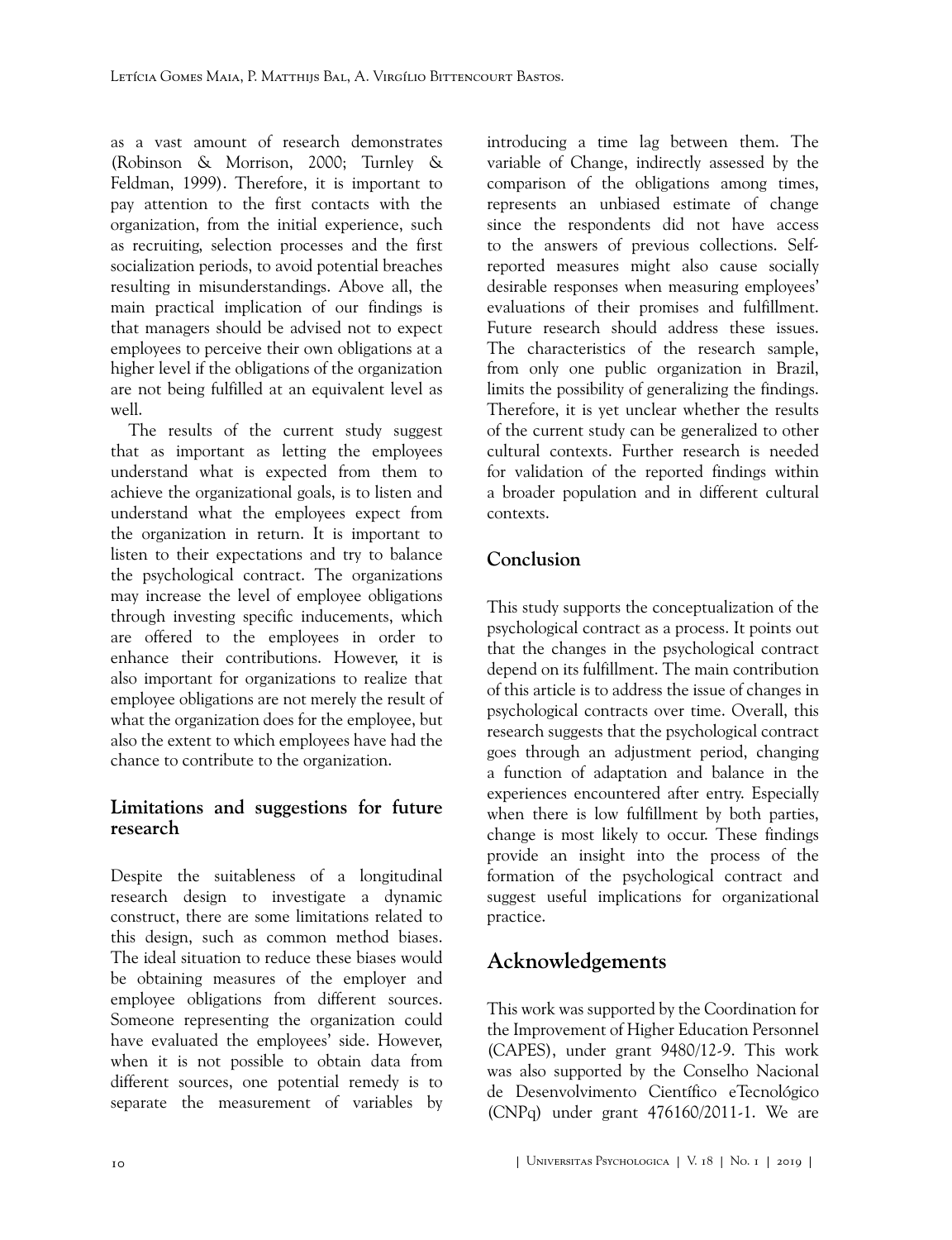as a vast amount of research demonstrates ([Robinson & Morrison, 2000](#page-11-15); [Turnley &](#page-12-12) [Feldman, 1999\)](#page-12-12). Therefore, it is important to pay attention to the first contacts with the organization, from the initial experience, such as recruiting, selection processes and the first socialization periods, to avoid potential breaches resulting in misunderstandings. Above all, the main practical implication of our findings is that managers should be advised not to expect employees to perceive their own obligations at a higher level if the obligations of the organization are not being fulfilled at an equivalent level as well.

The results of the current study suggest that as important as letting the employees understand what is expected from them to achieve the organizational goals, is to listen and understand what the employees expect from the organization in return. It is important to listen to their expectations and try to balance the psychological contract. The organizations may increase the level of employee obligations through investing specific inducements, which are offered to the employees in order to enhance their contributions. However, it is also important for organizations to realize that employee obligations are not merely the result of what the organization does for the employee, but also the extent to which employees have had the chance to contribute to the organization.

### **Limitations and suggestions for future research**

Despite the suitableness of a longitudinal research design to investigate a dynamic construct, there are some limitations related to this design, such as common method biases. The ideal situation to reduce these biases would be obtaining measures of the employer and employee obligations from different sources. Someone representing the organization could have evaluated the employees' side. However, when it is not possible to obtain data from different sources, one potential remedy is to separate the measurement of variables by

introducing a time lag between them. The variable of Change, indirectly assessed by the comparison of the obligations among times, represents an unbiased estimate of change since the respondents did not have access to the answers of previous collections. Selfreported measures might also cause socially desirable responses when measuring employees' evaluations of their promises and fulfillment. Future research should address these issues. The characteristics of the research sample, from only one public organization in Brazil, limits the possibility of generalizing the findings. Therefore, it is yet unclear whether the results of the current study can be generalized to other cultural contexts. Further research is needed for validation of the reported findings within a broader population and in different cultural contexts.

### **Conclusion**

This study supports the conceptualization of the psychological contract as a process. It points out that the changes in the psychological contract depend on its fulfillment. The main contribution of this article is to address the issue of changes in psychological contracts over time. Overall, this research suggests that the psychological contract goes through an adjustment period, changing a function of adaptation and balance in the experiences encountered after entry. Especially when there is low fulfillment by both parties, change is most likely to occur. These findings provide an insight into the process of the formation of the psychological contract and suggest useful implications for organizational practice.

# **Acknowledgements**

This work was supported by the Coordination for the Improvement of Higher Education Personnel (CAPES), under grant 9480/12-9. This work was also supported by the Conselho Nacional de Desenvolvimento Científico eTecnológico (CNPq) under grant 476160/2011-1. We are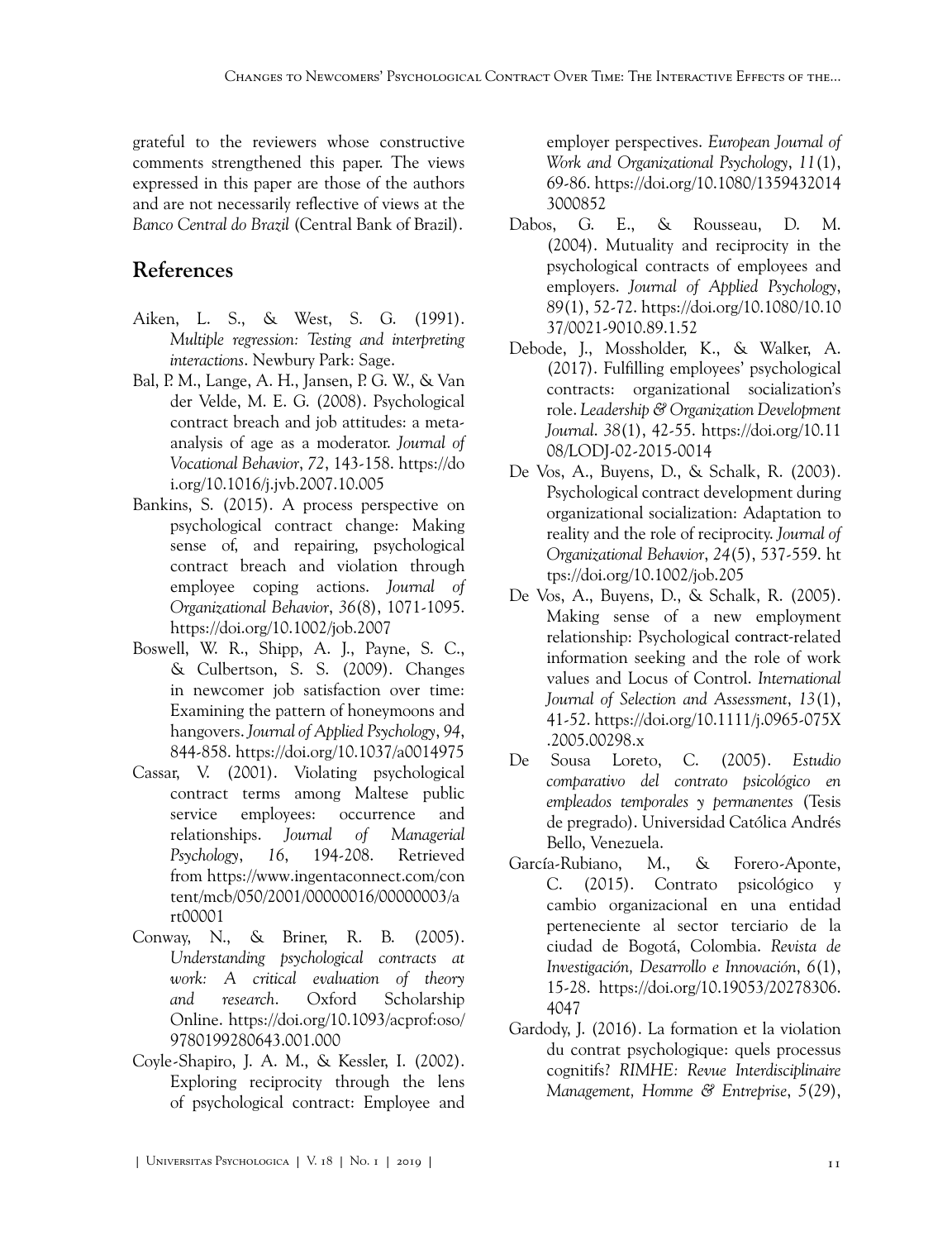grateful to the reviewers whose constructive comments strengthened this paper. The views expressed in this paper are those of the authors and are not necessarily reflective of views at the *Banco Central do Brazil* (Central Bank of Brazil).

# **References**

- <span id="page-10-12"></span>Aiken, L. S., & West, S. G. (1991). *Multiple regression: Testing and interpreting interactions*. Newbury Park: Sage.
- <span id="page-10-11"></span>Bal, P. M., Lange, A. H., Jansen, P. G. W., & Van der Velde, M. E. G. (2008). Psychological contract breach and job attitudes: a metaanalysis of age as a moderator. *Journal of Vocational Behavior*, *72*, 143-158. [https://do](https://doi.org/10.1016/j.jvb.2007.10.005) [i.org/10.1016/j.jvb.2007.10.005](https://doi.org/10.1016/j.jvb.2007.10.005)
- <span id="page-10-0"></span>Bankins, S. (2015). A process perspective on psychological contract change: Making sense of, and repairing, psychological contract breach and violation through employee coping actions. *Journal of Organizational Behavior*, *36*(8), 1071-1095. <https://doi.org/10.1002/job.2007>
- <span id="page-10-13"></span>Boswell, W. R., Shipp, A. J., Payne, S. C., & Culbertson, S. S. (2009). Changes in newcomer job satisfaction over time: Examining the pattern of honeymoons and hangovers. *Journal of Applied Psychology*, *94*, 844-858. <https://doi.org/10.1037/a0014975>
- <span id="page-10-8"></span>Cassar, V. (2001). Violating psychological contract terms among Maltese public service employees: occurrence and relationships. *Journal of Managerial Psychology*, *16*, 194-208. Retrieved from [https://www.ingentaconnect.com/con](https://www.ingentaconnect.com/content/mcb/050/2001/00000016/00000003/art00001) [tent/mcb/050/2001/00000016/00000003/a](https://www.ingentaconnect.com/content/mcb/050/2001/00000016/00000003/art00001) [rt00001](https://www.ingentaconnect.com/content/mcb/050/2001/00000016/00000003/art00001)
- <span id="page-10-3"></span>Conway, N., & Briner, R. B. (2005). *Understanding psychological contracts at work: A critical evaluation of theory and research*. Oxford Scholarship Online. [https://doi.org/10.1093/acprof:oso/](https://doi.org/10.1093/acprof:oso/9780199280643.001.000) [9780199280643.001.000](https://doi.org/10.1093/acprof:oso/9780199280643.001.000)
- <span id="page-10-2"></span>Coyle-Shapiro, J. A. M., & Kessler, I. (2002). Exploring reciprocity through the lens of psychological contract: Employee and

employer perspectives. *European Journal of Work and Organizational Psychology*, *11*(1), 69-86. [https://doi.org/10.1080/1359432014](https://doi.org/10.1080/13594320143000852) [3000852](https://doi.org/10.1080/13594320143000852)

- <span id="page-10-6"></span>Dabos, G. E., & Rousseau, D. M. (2004). Mutuality and reciprocity in the psychological contracts of employees and employers. *Journal of Applied Psychology*, *89*(1), 52-72. [https://doi.org/10.1080/10.10](https://doi.org/10.1080/10.1037/0021-9010.89.1.52) [37/0021-9010.89.1.52](https://doi.org/10.1080/10.1037/0021-9010.89.1.52)
- <span id="page-10-7"></span>Debode, J., Mossholder, K., & Walker, A. (2017). Fulfilling employees' psychological contracts: organizational socialization's role. *Leadership & Organization Development Journal*. *38*(1), 42-55. [https://doi.org/10.11](https://doi.org/10.1108/LODJ-02-2015-0014) [08/LODJ-02-2015-0014](https://doi.org/10.1108/LODJ-02-2015-0014)
- <span id="page-10-1"></span>De Vos, A., Buyens, D., & Schalk, R. (2003). Psychological contract development during organizational socialization: Adaptation to reality and the role of reciprocity. *Journal of Organizational Behavior*, *24*(5), 537-559. [ht](https://doi.org/10.1002/job.205) [tps://doi.org/10.1002/job.205](https://doi.org/10.1002/job.205)
- <span id="page-10-4"></span>De Vos, A., Buyens, D., & Schalk, R. (2005). Making sense of a new employment relationship: Psychological contract‐related information seeking and the role of work values and Locus of Control. *International Journal of Selection and Assessment*, *13*(1), 41-52. [https://doi.org/10.1111/j.0965-075X](https://doi.org/10.1111/j.0965-075X.2005.00298.x) [.2005.00298.x](https://doi.org/10.1111/j.0965-075X.2005.00298.x)
- <span id="page-10-9"></span>De Sousa Loreto, C. (2005). *Estudio comparativo del contrato psicológico en empleados temporales y permanentes* (Tesis de pregrado). Universidad Católica Andrés Bello, Venezuela.
- <span id="page-10-10"></span>García-Rubiano, M., & Forero-Aponte, C. (2015). Contrato psicológico y cambio organizacional en una entidad perteneciente al sector terciario de la ciudad de Bogotá, Colombia. *Revista de Investigación, Desarrollo e Innovación*, *6*(1), 15-28. [https://doi.org/10.19053/20278306.](https://doi.org/10.19053/20278306.4047) [4047](https://doi.org/10.19053/20278306.4047)
- <span id="page-10-5"></span>Gardody, J. (2016). La formation et la violation du contrat psychologique: quels processus cognitifs? *RIMHE: Revue Interdisciplinaire Management, Homme & Entreprise*, *5*(29),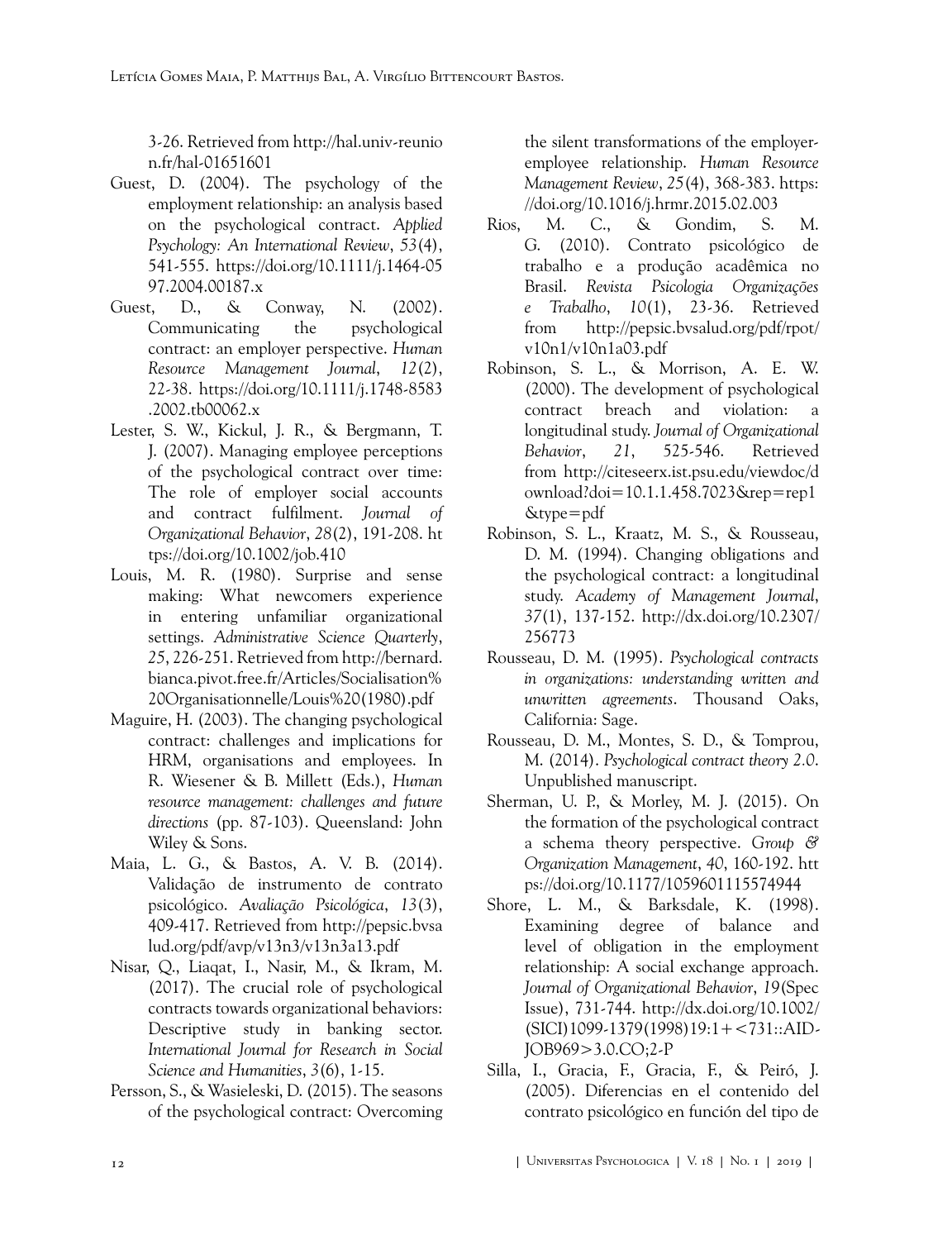3-26. Retrieved from [http://hal.univ-reunio](http://hal.univ-reunion.fr/hal-01651601) [n.fr/hal-01651601](http://hal.univ-reunion.fr/hal-01651601)

- <span id="page-11-8"></span>Guest, D. (2004). The psychology of the employment relationship: an analysis based on the psychological contract. *Applied Psychology: An International Review*, *53*(4), 541-555. [https://doi.org/10.1111/j.1464-05](https://doi.org/10.1111/j.1464-0597.2004.00187.x) [97.2004.00187.x](https://doi.org/10.1111/j.1464-0597.2004.00187.x)
- <span id="page-11-9"></span>Guest, D., & Conway, N. (2002). Communicating the psychological contract: an employer perspective. *Human Resource Management Journal*, *12*(2), 22-38. [https://doi.org/10.1111/j.1748-8583](https://doi.org/10.1111/j.1748-8583.2002.tb00062.x) [.2002.tb00062.x](https://doi.org/10.1111/j.1748-8583.2002.tb00062.x)
- <span id="page-11-10"></span>Lester, S. W., Kickul, J. R., & Bergmann, T. J. (2007). Managing employee perceptions of the psychological contract over time: The role of employer social accounts and contract fulfilment. *Journal of Organizational Behavior*, *28*(2), 191-208. [ht](https://doi.org/10.1002/job.410) [tps://doi.org/10.1002/job.410](https://doi.org/10.1002/job.410)
- <span id="page-11-3"></span>Louis, M. R. (1980). Surprise and sense making: What newcomers experience in entering unfamiliar organizational settings. *Administrative Science Quarterly*, *25*, 226-251. Retrieved from [http://bernard.](http://bernard.bianca.pivot.free.fr/Articles/Socialisation%20Organisationnelle/Louis%20(1980).pdf) [bianca.pivot.free.fr/Articles/Socialisation%](http://bernard.bianca.pivot.free.fr/Articles/Socialisation%20Organisationnelle/Louis%20(1980).pdf) [20Organisationnelle/Louis%20\(1980\).pdf](http://bernard.bianca.pivot.free.fr/Articles/Socialisation%20Organisationnelle/Louis%20(1980).pdf)
- <span id="page-11-0"></span>Maguire, H. (2003). The changing psychological contract: challenges and implications for HRM, organisations and employees. In R. Wiesener & B. Millett (Eds.), *Human resource management: challenges and future directions* (pp. 87-103). Queensland: John Wiley & Sons.
- <span id="page-11-14"></span>Maia, L. G., & Bastos, A. V. B. (2014). Validação de instrumento de contrato psicológico. *Avaliação Psicológica*, *13*(3), 409-417. Retrieved from [http://pepsic.bvsa](http://pepsic.bvsalud.org/pdf/avp/v13n3/v13n3a13.pdf) [lud.org/pdf/avp/v13n3/v13n3a13.pdf](http://pepsic.bvsalud.org/pdf/avp/v13n3/v13n3a13.pdf)
- <span id="page-11-11"></span>Nisar, Q., Liaqat, I., Nasir, M., & Ikram, M. (2017). The crucial role of psychological contracts towards organizational behaviors: Descriptive study in banking sector. *International Journal for Research in Social Science and Humanities*, *3*(6), 1-15.
- <span id="page-11-5"></span>Persson, S., & Wasieleski, D. (2015). The seasons of the psychological contract: Overcoming

the silent transformations of the employeremployee relationship. *Human Resource Management Review*, *25*(4), 368-383. [https:](https://doi.org/10.1016/j.hrmr.2015.02.003) [//doi.org/10.1016/j.hrmr.2015.02.003](https://doi.org/10.1016/j.hrmr.2015.02.003)

- <span id="page-11-12"></span>Rios, M. C., & Gondim, S. M. G. (2010). Contrato psicológico de trabalho e a produção acadêmica no Brasil. *Revista Psicologia Organizações e Trabalho*, *10*(1), 23-36. Retrieved from http://pepsic.bvsalud.org/pdf/rpot/ v10n1/v10n1a03.pdf
- <span id="page-11-15"></span>Robinson, S. L., & Morrison, A. E. W. (2000). The development of psychological contract breach and violation: a longitudinal study. *Journal of Organizational Behavior*, *21*, 525-546. Retrieved from [http://citeseerx.ist.psu.edu/viewdoc/d](http://citeseerx.ist.psu.edu/viewdoc/download?doi=10.1.1.458.7023&rep=rep1&type=pdf) [ownload?doi=10.1.1.458.7023&rep=rep1](http://citeseerx.ist.psu.edu/viewdoc/download?doi=10.1.1.458.7023&rep=rep1&type=pdf) [&type=pdf](http://citeseerx.ist.psu.edu/viewdoc/download?doi=10.1.1.458.7023&rep=rep1&type=pdf)
- <span id="page-11-2"></span>Robinson, S. L., Kraatz, M. S., & Rousseau, D. M. (1994). Changing obligations and the psychological contract: a longitudinal study. *Academy of Management Journal*, *37*(1), 137-152. [http://dx.doi.org/10.2307/](http://dx.doi.org/10.2307/256773) [256773](http://dx.doi.org/10.2307/256773)
- <span id="page-11-1"></span>Rousseau, D. M. (1995). *Psychological contracts in organizations: understanding written and unwritten agreements*. Thousand Oaks, California: Sage.
- <span id="page-11-7"></span>Rousseau, D. M., Montes, S. D., & Tomprou, M. (2014). *Psychological contract theory 2.0*. Unpublished manuscript.
- <span id="page-11-6"></span>Sherman, U. P., & Morley, M. J. (2015). On the formation of the psychological contract a schema theory perspective. *Group & Organization Management*, *40*, 160-192. [htt](https://doi.org/10.1177/1059601115574944) [ps://doi.org/10.1177/1059601115574944](https://doi.org/10.1177/1059601115574944)
- <span id="page-11-4"></span>Shore, L. M., & Barksdale, K. (1998). Examining degree of balance and level of obligation in the employment relationship: A social exchange approach. *Journal of Organizational Behavior*, *19*(Spec Issue), 731-744. http://dx.doi.org/10.1002/ (SICI)1099-1379(1998)19:1+<731::AID-JOB969>3.0.CO;2-P
- <span id="page-11-13"></span>Silla, I., Gracia, F., Gracia, F., & Peiró, J. (2005). Diferencias en el contenido del contrato psicológico en función del tipo de